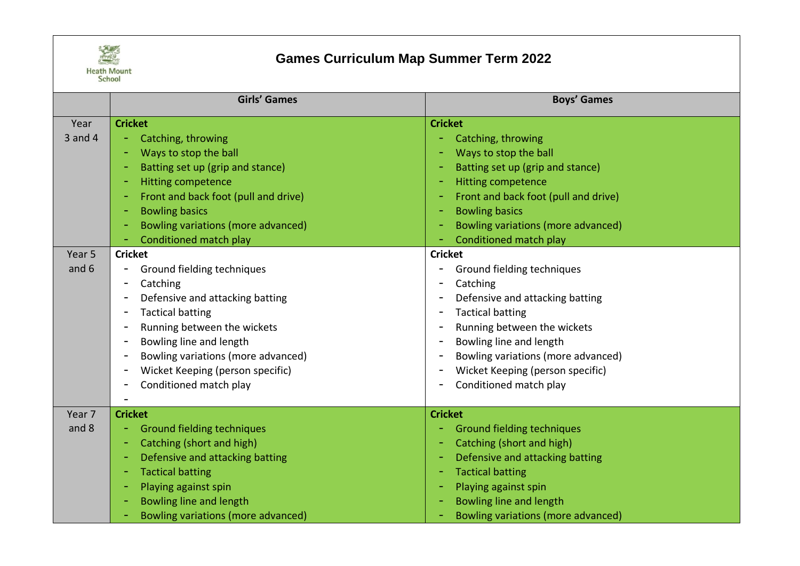

## **Games Curriculum Map Summer Term 2022**

|                   | <b>Girls' Games</b>                  | <b>Boys' Games</b>                                           |
|-------------------|--------------------------------------|--------------------------------------------------------------|
| Year              | <b>Cricket</b>                       | <b>Cricket</b>                                               |
| $3$ and $4$       | Catching, throwing                   | Catching, throwing                                           |
|                   | Ways to stop the ball                | Ways to stop the ball                                        |
|                   | Batting set up (grip and stance)     | Batting set up (grip and stance)<br>÷                        |
|                   | <b>Hitting competence</b>            | <b>Hitting competence</b><br>$\equiv$                        |
|                   | Front and back foot (pull and drive) | Front and back foot (pull and drive)<br>$\equiv$             |
|                   | <b>Bowling basics</b>                | <b>Bowling basics</b><br>۰                                   |
|                   | Bowling variations (more advanced)   | Bowling variations (more advanced)                           |
|                   | Conditioned match play               | Conditioned match play                                       |
| Year <sub>5</sub> | <b>Cricket</b>                       | <b>Cricket</b>                                               |
| and 6             | Ground fielding techniques           | Ground fielding techniques<br>-                              |
|                   | Catching                             | Catching<br>$\qquad \qquad \blacksquare$                     |
|                   | Defensive and attacking batting      | Defensive and attacking batting<br>$\blacksquare$            |
|                   | <b>Tactical batting</b>              | <b>Tactical batting</b><br>$\blacksquare$                    |
|                   | Running between the wickets          | Running between the wickets<br>$\overline{\phantom{a}}$      |
|                   | Bowling line and length              | Bowling line and length<br>$\overline{\phantom{a}}$          |
|                   | Bowling variations (more advanced)   | Bowling variations (more advanced)<br>$\blacksquare$         |
|                   | Wicket Keeping (person specific)     | Wicket Keeping (person specific)<br>$\overline{\phantom{a}}$ |
|                   | Conditioned match play               | Conditioned match play<br>$\qquad \qquad$                    |
|                   |                                      |                                                              |
| Year <sub>7</sub> | <b>Cricket</b>                       | <b>Cricket</b>                                               |
| and 8             | <b>Ground fielding techniques</b>    | <b>Ground fielding techniques</b>                            |
|                   | Catching (short and high)            | Catching (short and high)                                    |
|                   | Defensive and attacking batting      | Defensive and attacking batting                              |
|                   | <b>Tactical batting</b>              | <b>Tactical batting</b><br>$\equiv$                          |
|                   | Playing against spin                 | Playing against spin                                         |
|                   | Bowling line and length              | Bowling line and length                                      |
|                   | Bowling variations (more advanced)   | Bowling variations (more advanced)                           |